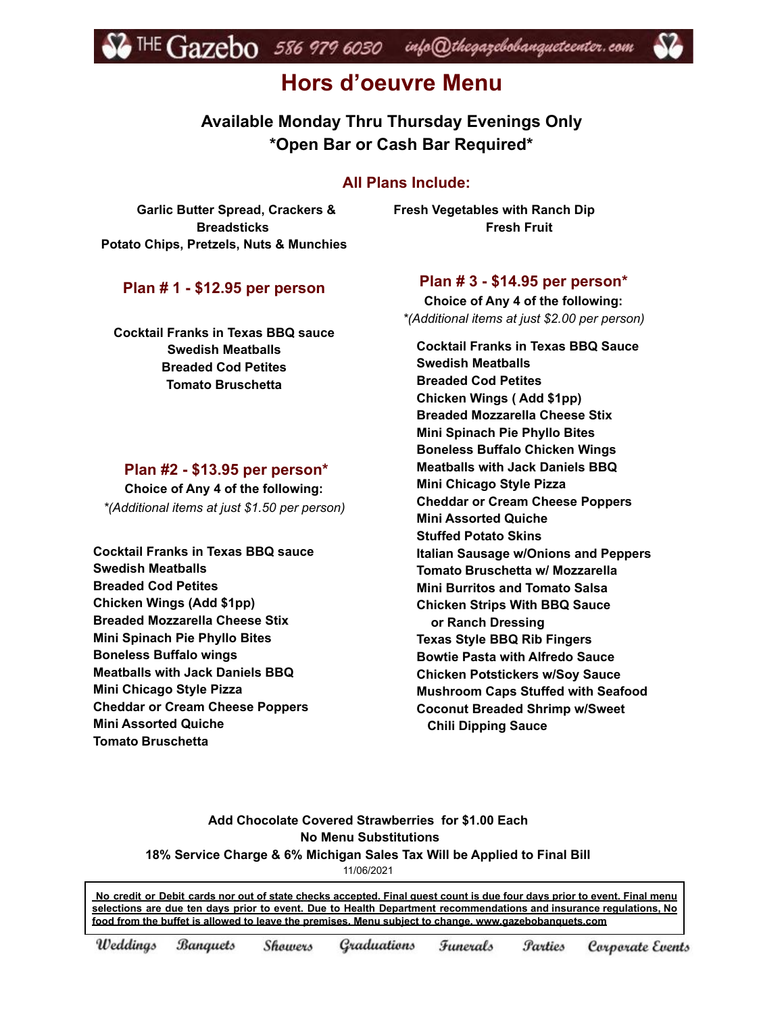

# **Hors d'oeuvre Menu**

## **Available Monday Thru Thursday Evenings Only \*Open Bar or Cash Bar Required\***

#### **All Plans Include:**

**Garlic Butter Spread, Crackers & Breadsticks Potato Chips, Pretzels, Nuts & Munchies** **Fresh Vegetables with Ranch Dip Fresh Fruit**

#### **Plan # 1 - \$12.95 per person**

**Cocktail Franks in Texas BBQ sauce Swedish Meatballs Breaded Cod Petites Tomato Bruschetta**

#### **Plan #2 - \$13.95 per person\***

**Choice of Any 4 of the following:** *\*(Additional items at just \$1.50 per person)*

**Cocktail Franks in Texas BBQ sauce Swedish Meatballs Breaded Cod Petites Chicken Wings (Add \$1pp) Breaded Mozzarella Cheese Stix Mini Spinach Pie Phyllo Bites Boneless Buffalo wings Meatballs with Jack Daniels BBQ Mini Chicago Style Pizza Cheddar or Cream Cheese Poppers Mini Assorted Quiche Tomato Bruschetta**

#### **Plan # 3 - \$14.95 per person\***

**Choice of Any 4 of the following:** *\*(Additional items at just \$2.00 per person)*

**Cocktail Franks in Texas BBQ Sauce Swedish Meatballs Breaded Cod Petites Chicken Wings ( Add \$1pp) Breaded Mozzarella Cheese Stix Mini Spinach Pie Phyllo Bites Boneless Buffalo Chicken Wings Meatballs with Jack Daniels BBQ Mini Chicago Style Pizza Cheddar or Cream Cheese Poppers Mini Assorted Quiche Stuffed Potato Skins Italian Sausage w/Onions and Peppers Tomato Bruschetta w/ Mozzarella Mini Burritos and Tomato Salsa Chicken Strips With BBQ Sauce or Ranch Dressing Texas Style BBQ Rib Fingers Bowtie Pasta with Alfredo Sauce Chicken Potstickers w/Soy Sauce Mushroom Caps Stuffed with Seafood Coconut Breaded Shrimp w/Sweet Chili Dipping Sauce**

**Add Chocolate Covered Strawberries for \$1.00 Each No Menu Substitutions 18% Service Charge & 6% Michigan Sales Tax Will be Applied to Final Bill** 11/06/2021

No credit or Debit cards nor out of state checks accepted. Final quest count is due four days prior to event. Final menu selections are due ten days prior to event. Due to Health Department recommendations and insurance regulations, No **food from the buffet is allowed to leave the premises. Menu subject to change. www.gazebobanquets.com**

Weddinas Banquets Showers Graduations Funerals *<u>Parties</u>* Corporate Events